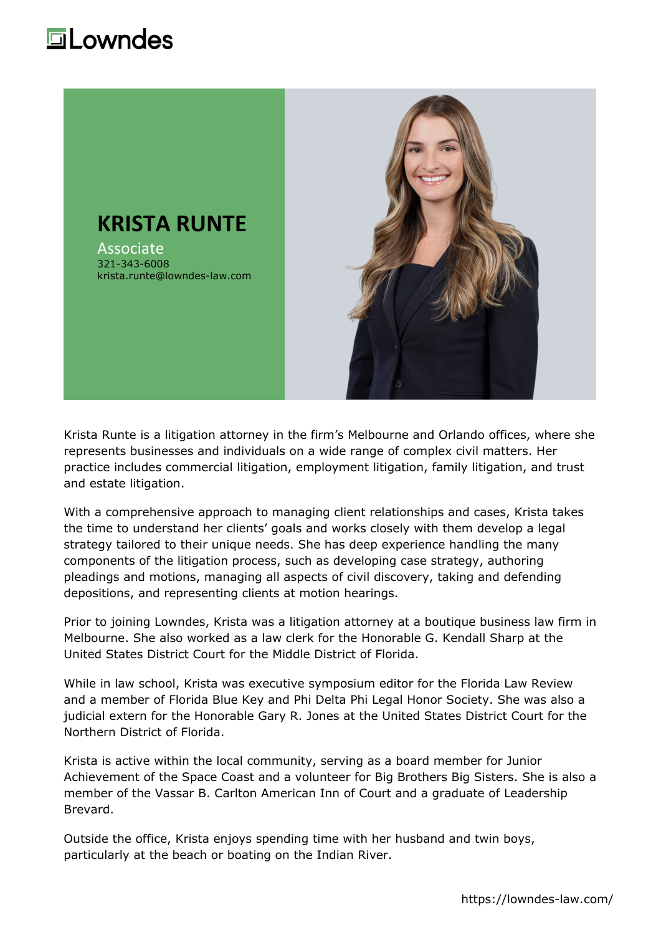## **Lowndes**



Krista Runte is a litigation attorney in the firm's Melbourne and Orlando offices, where she represents businesses and individuals on a wide range of complex civil matters. Her practice includes commercial litigation, employment litigation, family litigation, and trust and estate litigation.

With a comprehensive approach to managing client relationships and cases, Krista takes the time to understand her clients' goals and works closely with them develop a legal strategy tailored to their unique needs. She has deep experience handling the many components of the litigation process, such as developing case strategy, authoring pleadings and motions, managing all aspects of civil discovery, taking and defending depositions, and representing clients at motion hearings.

Prior to joining Lowndes, Krista was a litigation attorney at a boutique business law firm in Melbourne. She also worked as a law clerk for the Honorable G. Kendall Sharp at the United States District Court for the Middle District of Florida.

While in law school, Krista was executive symposium editor for the Florida Law Review and a member of Florida Blue Key and Phi Delta Phi Legal Honor Society. She was also a judicial extern for the Honorable Gary R. Jones at the United States District Court for the Northern District of Florida.

Krista is active within the local community, serving as a board member for Junior Achievement of the Space Coast and a volunteer for Big Brothers Big Sisters. She is also a member of the Vassar B. Carlton American Inn of Court and a graduate of Leadership Brevard.

Outside the office, Krista enjoys spending time with her husband and twin boys, particularly at the beach or boating on the Indian River.